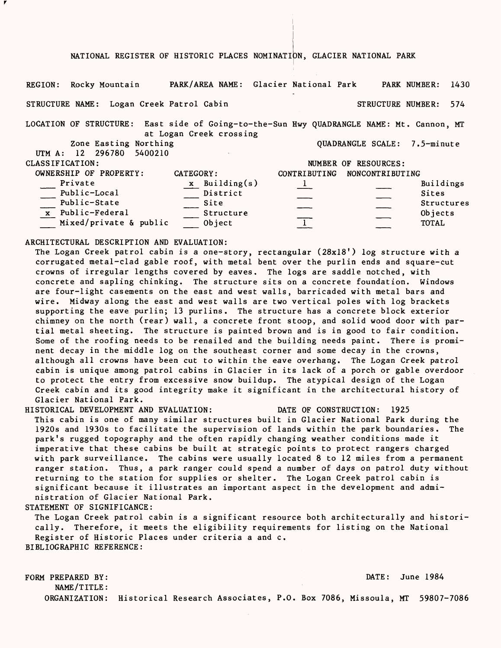#### NATIONAL REGISTER OF HISTORIC PLACES NOMINATION, GLACIER NATIONAL PARK

REGION: Rocky Mountain PARK/AREA NAME: Glacier National Park PARK NUMBER: 1430 STRUCTURE NAME: Logan Creek Patrol Cabin STRUCTURE NUMBER: 574 LOCATION OF STRUCTURE: East side of Going-to-the-Sun Hwy QUADRANGLE NAME: Mt. Cannon, MT at Logan Creek crossing<br>Zone Easting Northing QUADRANGLE SCALE: 7.5-minute UTM A: 12 296780 5400210 CLASSIFICATION: NUMBER OF RESOURCES: OWNERSHIP OF PROPERTY: CATEGORY: CATEGORY: CONTRIBUTING NONCONTRIBUTING<br>Private  $\begin{array}{ccc} x & \text{Building(s)} & 1 \end{array}$ Private  $\frac{x}{\text{Building(s)}}$   $\frac{1}{\text{Number of the image}}$ \_\_ Public-Local \_\_ District \_\_ \_\_ Sites Public-State Site Structures Public-Federal \_\_ Structure \_\_ \_\_ Objects  $\underline{x}$  Public-Federal  $\underline{y}$  Structure  $\underline{y}$  Objects<br>Mixed/private & public  $\underline{y}$  Object  $\underline{y}$   $\underline{y}$  Objects

ARCHITECTURAL DESCRIPTION AND EVALUATION:

The Logan Creek patrol cabin is a one-story, rectangular (28x18') log structure with a corrugated metal-clad gable roof, with metal bent over the purlin ends and square-cut crowns of irregular lengths covered by eaves. The logs are saddle notched, with concrete and sapling chinking. The structure sits on a concrete foundation. Windows are four-light casements on the east and west walls, barricaded with metal bars and wire. Midway along the east and west walls are two vertical poles with log brackets supporting the eave purlin; 13 purlins. The structure has a concrete block exterior chimney on the north (rear) wall, a concrete front stoop, and solid wood door with partial metal sheeting. The structure is painted brown and is in good to fair condition. Some of the roofing needs to be renailed and the building needs paint. There is prominent decay in the middle log on the southeast corner and some decay in the crowns, although all crowns have been cut to within the eave overhang. The Logan Creek patrol cabin is unique among patrol cabins in Glacier in its lack of a porch or gable overdoor to protect the entry from excessive snow buildup. The atypical design of the Logan Creek cabin and its good integrity make it significant in the architectural history of Glacier National Park.

HISTORICAL DEVELOPMENT AND EVALUATION: DATE OF CONSTRUCTION: 1925

This cabin is one of many similar structures built in Glacier National Park during the 1920s and 1930s to facilitate the supervision of lands within the park boundaries. The park's rugged topography and the often rapidly changing weather conditions made it imperative that these cabins be built at strategic points to protect rangers charged with park surveillance. The cabins were usually located 8 to 12 miles from a permanent ranger station. Thus, a park ranger could spend a number of days on patrol duty without returning to the station for supplies or shelter. The Logan Creek patrol cabin is significant because it illustrates an important aspect in the development and administration of Glacier National Park.

STATEMENT OF SIGNIFICANCE:

The Logan Creek patrol cabin is a significant resource both architecturally and historically. Therefore, it meets the eligibility requirements for listing on the National Register of Historic Places under criteria a and c. BIBLIOGRAPHIC REFERENCE:

FORM PREPARED BY: DATE: June 1984 NAME/TITLE: ORGANIZATION: Historical Research Associates, P.O. Box 7086, Missoula, MT 59807-7086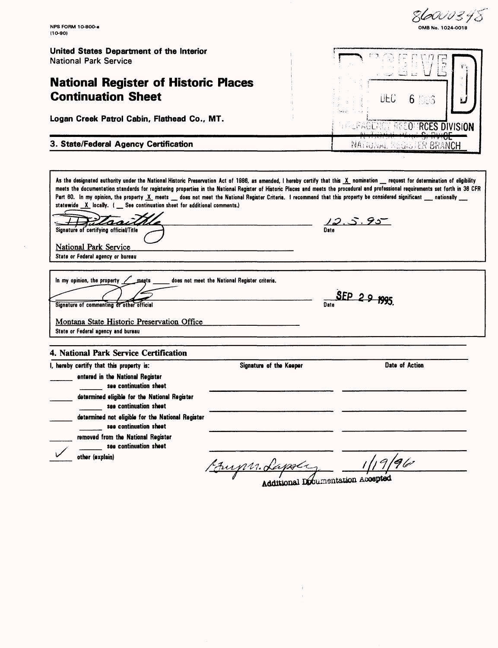86000348 **NFS FORM 1O-8OO-a OMBNo. 1024-0018 (10-90) United States Department of the Interior** National Park Service **National Register of Historic Places Continuation Sheet** ÜEC 6 **Logan Creek Patrol Cabin, Flathead Co., MT. RECOMPRCES DIVISION 3. State/Federal Agency Certification** United States and United States and MATIONAL REGISTER BRANCH .<br>As the designated authority under the National Historic Preservation Act of 1986, as amended, I hereby certify that this <u>X</u> nomination \_\_ request for determination of eligibility meets the documentation standards for registering properties in the National Register of Historic Places and meets the procedural and professional requirements set forth in 36 CFR meets the documentation standards for registering properties in the National Register of Historic Places and meets the procedural and professional requirements set forth in 31<br>Part 60. In my opinion, the property <u>X</u> meets statewide X locally. ( See continuation sheet for additional comments.) <u>12.5.95</u><br>Date  $\ell$ asu $\ell$ Signature of certifying official/Title National Park Service State or Federal agency or bureau magts does not meet the National Register criteria. In my opinion, the property  $SEP 29$  your  $Date$   $D55$ Signature of commenting or other official Montana State Historic Preservation Office State or Federal agency and bureau **4. National Park Service Certification** I, hereby certify that this property is: Signature of the Keeper **Date of Action** entered in the National Register see continuation sheet determined eligible for the National Register see continuation sheet determined not eligible for the National Register \_\_\_\_ see continuation sheet removed from the National Register \_\_\_\_ see continuation sheet other (explain)  $96$ **11** <u>7 August General Commentation</u> Accepted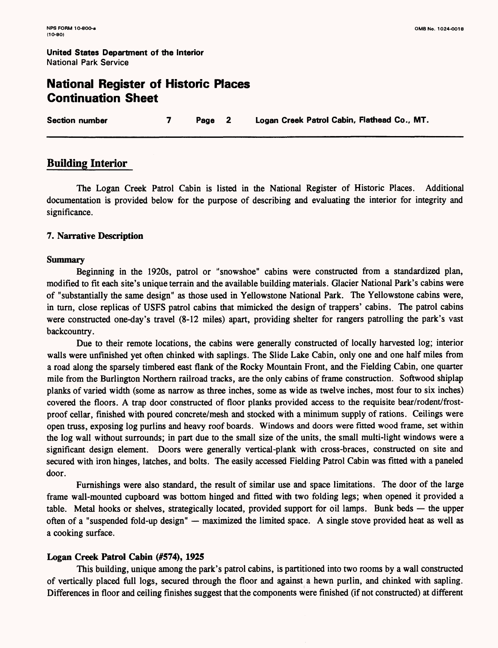**United States Department of the Interior** National Park Service

# **National Register of Historic Places Continuation Sheet**

**Section number 7 Page 2 Logan Creek Patrol Cabin, Flathead Co., MT.**

## **Building Interior**

The Logan Creek Patrol Cabin is listed in the National Register of Historic Places. Additional documentation is provided below for the purpose of describing and evaluating the interior for integrity and significance.

## **7. Narrative Description**

#### **Summary**

Beginning in the 1920s, patrol or "snowshoe" cabins were constructed from a standardized plan, modified to fit each site's unique terrain and the available building materials. Glacier National Park's cabins were of "substantially the same design" as those used in Yellowstone National Park. The Yellowstone cabins were, in turn, close replicas of USFS patrol cabins that mimicked the design of trappers' cabins. The patrol cabins were constructed one-day's travel (8-12 miles) apart, providing shelter for rangers patrolling the park's vast backcountry.

Due to their remote locations, the cabins were generally constructed of locally harvested log; interior walls were unfinished yet often chinked with saplings. The Slide Lake Cabin, only one and one half miles from a road along the sparsely timbered east flank of the Rocky Mountain Front, and the Fielding Cabin, one quarter mile from the Burlington Northern railroad tracks, are the only cabins of frame construction. Softwood shiplap planks of varied width (some as narrow as three inches, some as wide as twelve inches, most four to six inches) covered the floors. A trap door constructed of floor planks provided access to the requisite bear/rodent/frostproof cellar, finished with poured concrete/mesh and stocked with a minimum supply of rations. Ceilings were open truss, exposing log purlins and heavy roof boards. Windows and doors were fitted wood frame, set within the log wall without surrounds; in part due to the small size of the units, the small multi-light windows were a significant design element. Doors were generally vertical-plank with cross-braces, constructed on site and secured with iron hinges, latches, and bolts. The easily accessed Fielding Patrol Cabin was fitted with a paneled door.

Furnishings were also standard, the result of similar use and space limitations. The door of the large frame wall-mounted cupboard was bottom hinged and fitted with two folding legs; when opened it provided a table. Metal hooks or shelves, strategically located, provided support for oil lamps. Bunk beds — the upper often of a "suspended fold-up design" — maximized the limited space. A single stove provided heat as well as a cooking surface.

## **Logan Creek Patrol Cabin** (#574), **1925**

This building, unique among the park's patrol cabins, is partitioned into two rooms by a wall constructed of vertically placed full logs, secured through the floor and against a hewn purlin, and chinked with sapling. Differences in floor and ceiling finishes suggest that the components were finished (if not constructed) at different